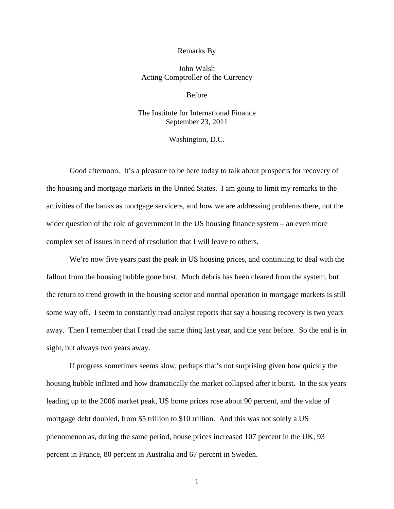## Remarks By

## John Walsh Acting Comptroller of the Currency

Before

## The Institute for International Finance September 23, 2011

## Washington, D.C.

Good afternoon. It's a pleasure to be here today to talk about prospects for recovery of the housing and mortgage markets in the United States. I am going to limit my remarks to the activities of the banks as mortgage servicers, and how we are addressing problems there, not the wider question of the role of government in the US housing finance system – an even more complex set of issues in need of resolution that I will leave to others.

We're now five years past the peak in US housing prices, and continuing to deal with the fallout from the housing bubble gone bust. Much debris has been cleared from the system, but the return to trend growth in the housing sector and normal operation in mortgage markets is still some way off. I seem to constantly read analyst reports that say a housing recovery is two years away. Then I remember that I read the same thing last year, and the year before. So the end is in sight, but always two years away.

If progress sometimes seems slow, perhaps that's not surprising given how quickly the housing bubble inflated and how dramatically the market collapsed after it burst. In the six years leading up to the 2006 market peak, US home prices rose about 90 percent, and the value of mortgage debt doubled, from \$5 trillion to \$10 trillion. And this was not solely a US phenomenon as, during the same period, house prices increased 107 percent in the UK, 93 percent in France, 80 percent in Australia and 67 percent in Sweden.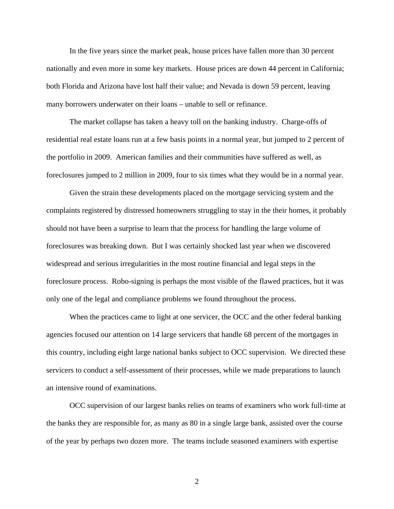In the five years since the market peak, house prices have fallen more than 30 percent nationally and even more in some key markets. House prices are down 44 percent in California; both Florida and Arizona have lost half their value; and Nevada is down 59 percent, leaving many borrowers underwater on their loans – unable to sell or refinance.

The market collapse has taken a heavy toll on the banking industry. Charge-offs of residential real estate loans run at a few basis points in a normal year, but jumped to 2 percent of the portfolio in 2009. American families and their communities have suffered as well, as foreclosures jumped to 2 million in 2009, four to six times what they would be in a normal year.

Given the strain these developments placed on the mortgage servicing system and the complaints registered by distressed homeowners struggling to stay in the their homes, it probably should not have been a surprise to learn that the process for handling the large volume of foreclosures was breaking down. But I was certainly shocked last year when we discovered widespread and serious irregularities in the most routine financial and legal steps in the foreclosure process. Robo-signing is perhaps the most visible of the flawed practices, but it was only one of the legal and compliance problems we found throughout the process.

When the practices came to light at one servicer, the OCC and the other federal banking agencies focused our attention on 14 large servicers that handle 68 percent of the mortgages in this country, including eight large national banks subject to OCC supervision. We directed these servicers to conduct a self-assessment of their processes, while we made preparations to launch an intensive round of examinations.

OCC supervision of our largest banks relies on teams of examiners who work full-time at the banks they are responsible for, as many as 80 in a single large bank, assisted over the course of the year by perhaps two dozen more. The teams include seasoned examiners with expertise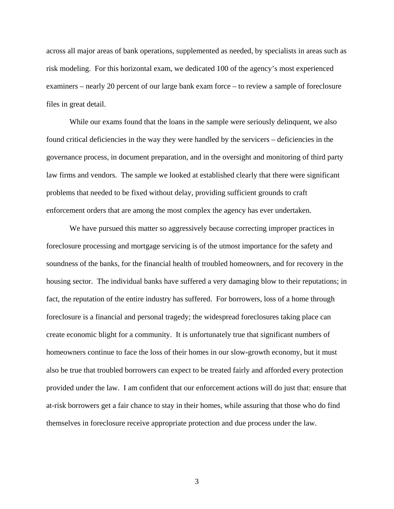across all major areas of bank operations, supplemented as needed, by specialists in areas such as risk modeling. For this horizontal exam, we dedicated 100 of the agency's most experienced examiners – nearly 20 percent of our large bank exam force – to review a sample of foreclosure files in great detail.

While our exams found that the loans in the sample were seriously delinquent, we also found critical deficiencies in the way they were handled by the servicers – deficiencies in the governance process, in document preparation, and in the oversight and monitoring of third party law firms and vendors. The sample we looked at established clearly that there were significant problems that needed to be fixed without delay, providing sufficient grounds to craft enforcement orders that are among the most complex the agency has ever undertaken.

We have pursued this matter so aggressively because correcting improper practices in foreclosure processing and mortgage servicing is of the utmost importance for the safety and soundness of the banks, for the financial health of troubled homeowners, and for recovery in the housing sector. The individual banks have suffered a very damaging blow to their reputations; in fact, the reputation of the entire industry has suffered. For borrowers, loss of a home through foreclosure is a financial and personal tragedy; the widespread foreclosures taking place can create economic blight for a community. It is unfortunately true that significant numbers of homeowners continue to face the loss of their homes in our slow-growth economy, but it must also be true that troubled borrowers can expect to be treated fairly and afforded every protection provided under the law. I am confident that our enforcement actions will do just that: ensure that at-risk borrowers get a fair chance to stay in their homes, while assuring that those who do find themselves in foreclosure receive appropriate protection and due process under the law.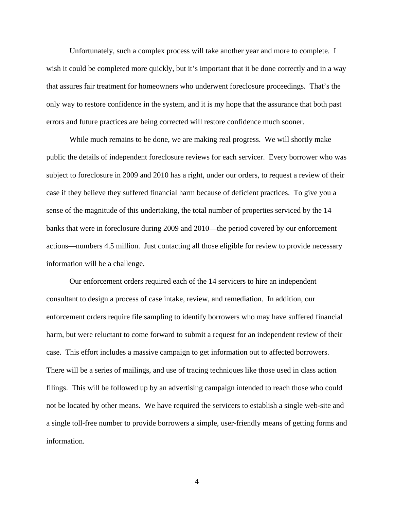Unfortunately, such a complex process will take another year and more to complete. I wish it could be completed more quickly, but it's important that it be done correctly and in a way that assures fair treatment for homeowners who underwent foreclosure proceedings. That's the only way to restore confidence in the system, and it is my hope that the assurance that both past errors and future practices are being corrected will restore confidence much sooner.

While much remains to be done, we are making real progress. We will shortly make public the details of independent foreclosure reviews for each servicer. Every borrower who was subject to foreclosure in 2009 and 2010 has a right, under our orders, to request a review of their case if they believe they suffered financial harm because of deficient practices. To give you a sense of the magnitude of this undertaking, the total number of properties serviced by the 14 banks that were in foreclosure during 2009 and 2010—the period covered by our enforcement actions—numbers 4.5 million. Just contacting all those eligible for review to provide necessary information will be a challenge.

Our enforcement orders required each of the 14 servicers to hire an independent consultant to design a process of case intake, review, and remediation. In addition, our enforcement orders require file sampling to identify borrowers who may have suffered financial harm, but were reluctant to come forward to submit a request for an independent review of their case. This effort includes a massive campaign to get information out to affected borrowers. There will be a series of mailings, and use of tracing techniques like those used in class action filings. This will be followed up by an advertising campaign intended to reach those who could not be located by other means. We have required the servicers to establish a single web-site and a single toll-free number to provide borrowers a simple, user-friendly means of getting forms and information.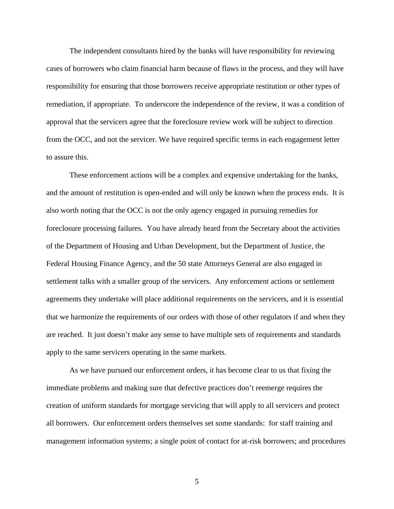The independent consultants hired by the banks will have responsibility for reviewing cases of borrowers who claim financial harm because of flaws in the process, and they will have responsibility for ensuring that those borrowers receive appropriate restitution or other types of remediation, if appropriate. To underscore the independence of the review, it was a condition of approval that the servicers agree that the foreclosure review work will be subject to direction from the OCC, and not the servicer. We have required specific terms in each engagement letter to assure this.

These enforcement actions will be a complex and expensive undertaking for the banks, and the amount of restitution is open-ended and will only be known when the process ends. It is also worth noting that the OCC is not the only agency engaged in pursuing remedies for foreclosure processing failures. You have already heard from the Secretary about the activities of the Department of Housing and Urban Development, but the Department of Justice, the Federal Housing Finance Agency, and the 50 state Attorneys General are also engaged in settlement talks with a smaller group of the servicers. Any enforcement actions or settlement agreements they undertake will place additional requirements on the servicers, and it is essential that we harmonize the requirements of our orders with those of other regulators if and when they are reached. It just doesn't make any sense to have multiple sets of requirements and standards apply to the same servicers operating in the same markets.

As we have pursued our enforcement orders, it has become clear to us that fixing the immediate problems and making sure that defective practices don't reemerge requires the creation of uniform standards for mortgage servicing that will apply to all servicers and protect all borrowers. Our enforcement orders themselves set some standards: for staff training and management information systems; a single point of contact for at-risk borrowers; and procedures